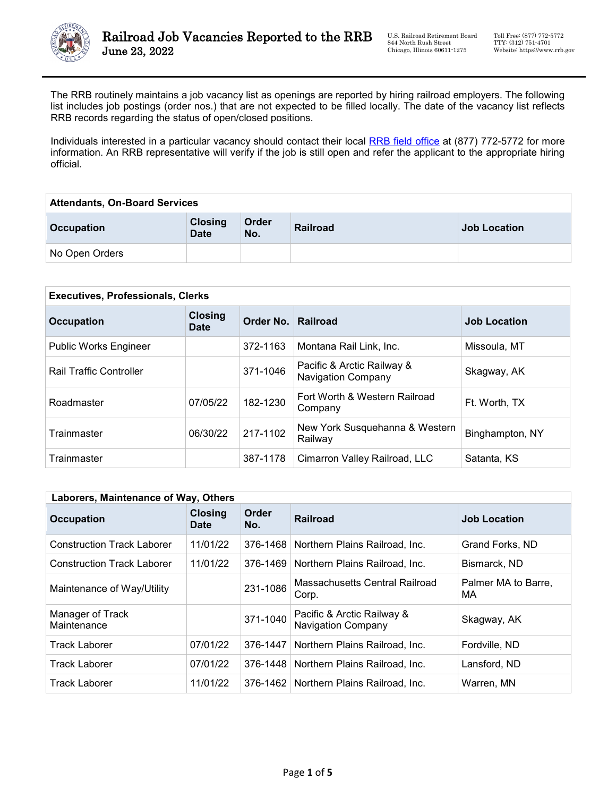

The RRB routinely maintains a job vacancy list as openings are reported by hiring railroad employers. The following list includes job postings (order nos.) that are not expected to be filled locally. The date of the vacancy list reflects RRB records regarding the status of open/closed positions.

Individuals interested in a particular vacancy should contact their local [RRB field office](https://www.rrb.gov/Field-Office-Locator) at (877) 772-5772 for more information. An RRB representative will verify if the job is still open and refer the applicant to the appropriate hiring official.

| <b>Attendants, On-Board Services</b> |                               |              |          |                     |
|--------------------------------------|-------------------------------|--------------|----------|---------------------|
| <b>Occupation</b>                    | <b>Closing</b><br><b>Date</b> | Order<br>No. | Railroad | <b>Job Location</b> |
| No Open Orders                       |                               |              |          |                     |

| <b>Executives, Professionals, Clerks</b> |                               |                    |                                                         |                     |
|------------------------------------------|-------------------------------|--------------------|---------------------------------------------------------|---------------------|
| <b>Occupation</b>                        | <b>Closing</b><br><b>Date</b> | Order No. Railroad |                                                         | <b>Job Location</b> |
| <b>Public Works Engineer</b>             |                               | 372-1163           | Montana Rail Link, Inc.                                 | Missoula, MT        |
| <b>Rail Traffic Controller</b>           |                               | 371-1046           | Pacific & Arctic Railway &<br><b>Navigation Company</b> | Skagway, AK         |
| Roadmaster                               | 07/05/22                      | 182-1230           | Fort Worth & Western Railroad<br>Company                | Ft. Worth. TX       |
| Trainmaster                              | 06/30/22                      | 217-1102           | New York Susquehanna & Western<br>Railway               | Binghampton, NY     |
| <b>Trainmaster</b>                       |                               | 387-1178           | Cimarron Valley Railroad, LLC                           | Satanta, KS         |

| Laborers, Maintenance of Way, Others |                               |              |                                                         |                           |
|--------------------------------------|-------------------------------|--------------|---------------------------------------------------------|---------------------------|
| <b>Occupation</b>                    | <b>Closing</b><br><b>Date</b> | Order<br>No. | <b>Railroad</b>                                         | <b>Job Location</b>       |
| <b>Construction Track Laborer</b>    | 11/01/22                      | 376-1468     | Northern Plains Railroad, Inc.                          | Grand Forks, ND           |
| <b>Construction Track Laborer</b>    | 11/01/22                      | 376-1469     | Northern Plains Railroad, Inc.                          | Bismarck, ND              |
| Maintenance of Way/Utility           |                               | 231-1086     | Massachusetts Central Railroad<br>Corp.                 | Palmer MA to Barre,<br>МA |
| Manager of Track<br>Maintenance      |                               | 371-1040     | Pacific & Arctic Railway &<br><b>Navigation Company</b> | Skagway, AK               |
| <b>Track Laborer</b>                 | 07/01/22                      | 376-1447     | Northern Plains Railroad, Inc.                          | Fordville, ND             |
| <b>Track Laborer</b>                 | 07/01/22                      | 376-1448     | Northern Plains Railroad, Inc.                          | Lansford, ND              |
| Track Laborer                        | 11/01/22                      |              | 376-1462   Northern Plains Railroad, Inc.               | Warren, MN                |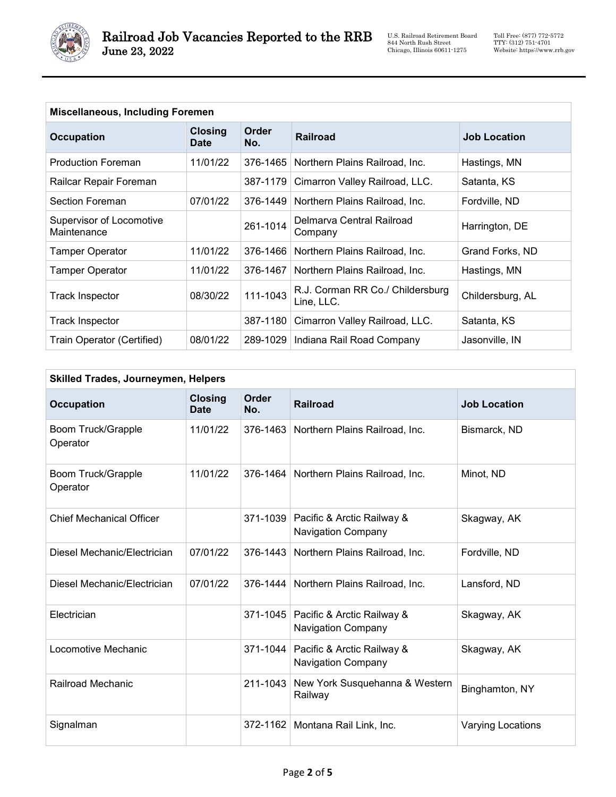

| <b>Miscellaneous, Including Foremen</b> |                               |                     |                                                |                     |
|-----------------------------------------|-------------------------------|---------------------|------------------------------------------------|---------------------|
| <b>Occupation</b>                       | <b>Closing</b><br><b>Date</b> | <b>Order</b><br>No. | <b>Railroad</b>                                | <b>Job Location</b> |
| <b>Production Foreman</b>               | 11/01/22                      | 376-1465            | Northern Plains Railroad, Inc.                 | Hastings, MN        |
| Railcar Repair Foreman                  |                               | 387-1179            | Cimarron Valley Railroad, LLC.                 | Satanta, KS         |
| Section Foreman                         | 07/01/22                      | 376-1449            | Northern Plains Railroad, Inc.                 | Fordville, ND       |
| Supervisor of Locomotive<br>Maintenance |                               | 261-1014            | Delmarva Central Railroad<br>Company           | Harrington, DE      |
| <b>Tamper Operator</b>                  | 11/01/22                      | 376-1466            | Northern Plains Railroad, Inc.                 | Grand Forks, ND     |
| <b>Tamper Operator</b>                  | 11/01/22                      | 376-1467            | Northern Plains Railroad, Inc.                 | Hastings, MN        |
| Track Inspector                         | 08/30/22                      | 111-1043            | R.J. Corman RR Co./ Childersburg<br>Line, LLC. | Childersburg, AL    |
| Track Inspector                         |                               | 387-1180            | Cimarron Valley Railroad, LLC.                 | Satanta, KS         |
| Train Operator (Certified)              | 08/01/22                      | 289-1029            | Indiana Rail Road Company                      | Jasonville, IN      |

| <b>Occupation</b>                     | <b>Closing</b><br><b>Date</b> | <b>Order</b><br>No. | <b>Railroad</b>                                                  | <b>Job Location</b>      |
|---------------------------------------|-------------------------------|---------------------|------------------------------------------------------------------|--------------------------|
| <b>Boom Truck/Grapple</b><br>Operator | 11/01/22                      | 376-1463            | Northern Plains Railroad, Inc.                                   | Bismarck, ND             |
| <b>Boom Truck/Grapple</b><br>Operator | 11/01/22                      | 376-1464            | Northern Plains Railroad, Inc.                                   | Minot, ND                |
| <b>Chief Mechanical Officer</b>       |                               | 371-1039            | Pacific & Arctic Railway &<br><b>Navigation Company</b>          | Skagway, AK              |
| Diesel Mechanic/Electrician           | 07/01/22                      | 376-1443            | Northern Plains Railroad, Inc.                                   | Fordville, ND            |
| Diesel Mechanic/Electrician           | 07/01/22                      | 376-1444            | Northern Plains Railroad, Inc.                                   | Lansford, ND             |
| Electrician                           |                               |                     | 371-1045 Pacific & Arctic Railway &<br><b>Navigation Company</b> | Skagway, AK              |
| Locomotive Mechanic                   |                               | 371-1044            | Pacific & Arctic Railway &<br><b>Navigation Company</b>          | Skagway, AK              |
| Railroad Mechanic                     |                               | 211-1043            | New York Susquehanna & Western<br>Railway                        | Binghamton, NY           |
| Signalman                             |                               | 372-1162            | Montana Rail Link, Inc.                                          | <b>Varying Locations</b> |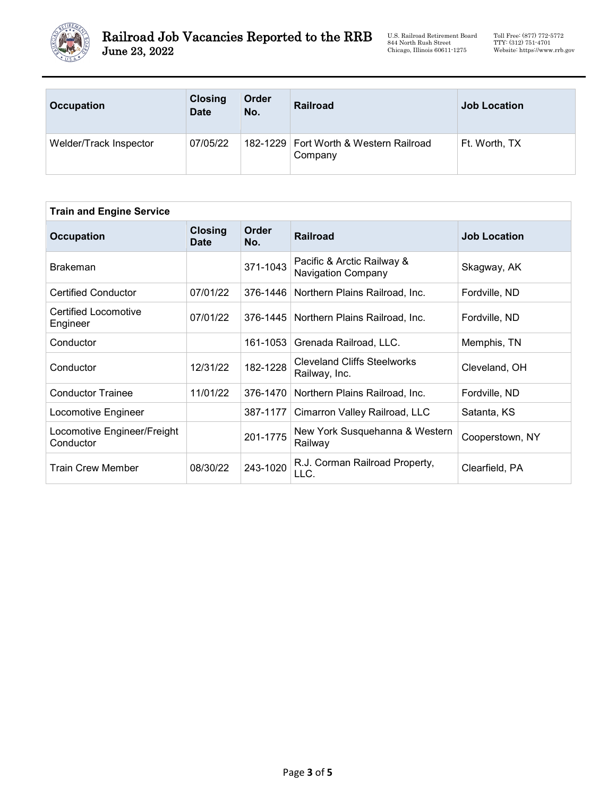

U.S. Railroad Retirement Board 844 North Rush Street Chicago, Illinois 60611-1275

| <b>Occupation</b>      | <b>Closing</b><br><b>Date</b> | Order<br>No. | <b>Railroad</b>                                     | <b>Job Location</b> |
|------------------------|-------------------------------|--------------|-----------------------------------------------------|---------------------|
| Welder/Track Inspector | 07/05/22                      |              | 182-1229   Fort Worth & Western Railroad<br>Company | Ft. Worth, TX       |

| <b>Train and Engine Service</b>          |                               |                     |                                                         |                     |
|------------------------------------------|-------------------------------|---------------------|---------------------------------------------------------|---------------------|
| <b>Occupation</b>                        | <b>Closing</b><br><b>Date</b> | <b>Order</b><br>No. | <b>Railroad</b>                                         | <b>Job Location</b> |
| <b>Brakeman</b>                          |                               | 371-1043            | Pacific & Arctic Railway &<br><b>Navigation Company</b> | Skagway, AK         |
| <b>Certified Conductor</b>               | 07/01/22                      | 376-1446            | Northern Plains Railroad, Inc.                          | Fordville, ND       |
| Certified Locomotive<br>Engineer         | 07/01/22                      | 376-1445            | Northern Plains Railroad, Inc.                          | Fordville, ND       |
| Conductor                                |                               | 161-1053            | Grenada Railroad, LLC.                                  | Memphis, TN         |
| Conductor                                | 12/31/22                      | 182-1228            | <b>Cleveland Cliffs Steelworks</b><br>Railway, Inc.     | Cleveland, OH       |
| <b>Conductor Trainee</b>                 | 11/01/22                      | 376-1470            | Northern Plains Railroad, Inc.                          | Fordville, ND       |
| Locomotive Engineer                      |                               | 387-1177            | Cimarron Valley Railroad, LLC                           | Satanta, KS         |
| Locomotive Engineer/Freight<br>Conductor |                               | 201-1775            | New York Susquehanna & Western<br>Railway               | Cooperstown, NY     |
| <b>Train Crew Member</b>                 | 08/30/22                      | 243-1020            | R.J. Corman Railroad Property,<br>LLC.                  | Clearfield, PA      |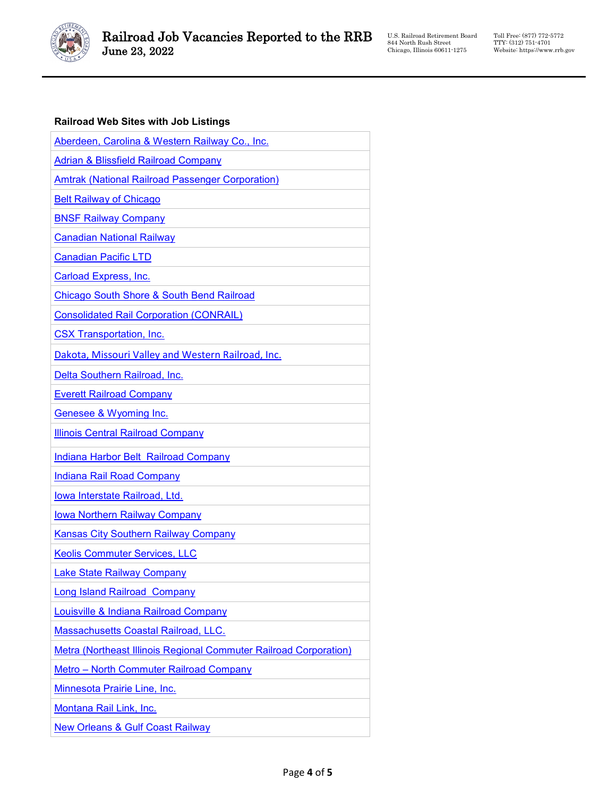

U.S. Railroad Retirement Board 844 North Rush Street Chicago, Illinois 60611-1275

Toll Free: (877) 772-5772 TTY: (312) 751-4701 Website: https://www.rrb.gov

## **Railroad Web Sites with Job Listings**

| Aberdeen, Carolina & Western Railway Co., Inc.                    |
|-------------------------------------------------------------------|
| <b>Adrian &amp; Blissfield Railroad Company</b>                   |
| <b>Amtrak (National Railroad Passenger Corporation)</b>           |
| <b>Belt Railway of Chicago</b>                                    |
| <b>BNSF Railway Company</b>                                       |
| <b>Canadian National Railway</b>                                  |
| <b>Canadian Pacific LTD</b>                                       |
| <b>Carload Express, Inc.</b>                                      |
| <b>Chicago South Shore &amp; South Bend Railroad</b>              |
| <b>Consolidated Rail Corporation (CONRAIL)</b>                    |
| <b>CSX Transportation, Inc.</b>                                   |
| Dakota, Missouri Valley and Western Railroad, Inc.                |
| Delta Southern Railroad, Inc.                                     |
| <b>Everett Railroad Company</b>                                   |
| Genesee & Wyoming Inc.                                            |
| <b>Illinois Central Railroad Company</b>                          |
| Indiana Harbor Belt Railroad Company                              |
| <b>Indiana Rail Road Company</b>                                  |
| Iowa Interstate Railroad, Ltd.                                    |
| <b>Iowa Northern Railway Company</b>                              |
| <b>Kansas City Southern Railway Company</b>                       |
| <b>Keolis Commuter Services, LLC</b>                              |
| <b>Lake State Railway Company</b>                                 |
| <b>Long Island Railroad Company</b>                               |
| <b>Louisville &amp; Indiana Railroad Company</b>                  |
| <b>Massachusetts Coastal Railroad, LLC.</b>                       |
| Metra (Northeast Illinois Regional Commuter Railroad Corporation) |
| <b>Metro - North Commuter Railroad Company</b>                    |
| Minnesota Prairie Line, Inc.                                      |
| Montana Rail Link, Inc.                                           |
| <b>New Orleans &amp; Gulf Coast Railway</b>                       |